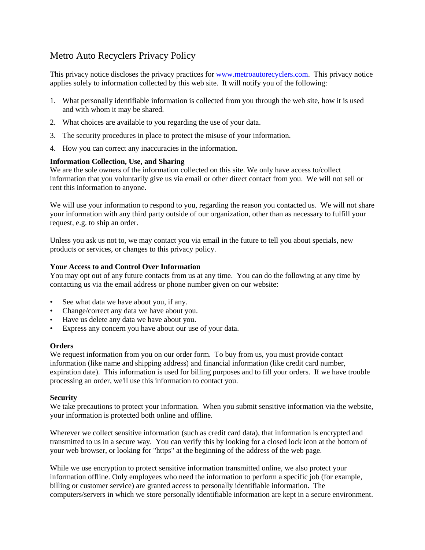# Metro Auto Recyclers Privacy Policy

This privacy notice discloses the privacy practices for [www.metroautorecyclers.com.](http://www.metroautorecyclers.com/) This privacy notice applies solely to information collected by this web site. It will notify you of the following:

- 1. What personally identifiable information is collected from you through the web site, how it is used and with whom it may be shared.
- 2. What choices are available to you regarding the use of your data.
- 3. The security procedures in place to protect the misuse of your information.
- 4. How you can correct any inaccuracies in the information.

## **Information Collection, Use, and Sharing**

We are the sole owners of the information collected on this site. We only have access to/collect information that you voluntarily give us via email or other direct contact from you. We will not sell or rent this information to anyone.

We will use your information to respond to you, regarding the reason you contacted us. We will not share your information with any third party outside of our organization, other than as necessary to fulfill your request, e.g. to ship an order.

Unless you ask us not to, we may contact you via email in the future to tell you about specials, new products or services, or changes to this privacy policy.

### **Your Access to and Control Over Information**

You may opt out of any future contacts from us at any time. You can do the following at any time by contacting us via the email address or phone number given on our website:

- See what data we have about you, if any.
- Change/correct any data we have about you.
- Have us delete any data we have about you.
- Express any concern you have about our use of your data.

### **Orders**

We request information from you on our order form. To buy from us, you must provide contact information (like name and shipping address) and financial information (like credit card number, expiration date). This information is used for billing purposes and to fill your orders. If we have trouble processing an order, we'll use this information to contact you.

### **Security**

We take precautions to protect your information. When you submit sensitive information via the website, your information is protected both online and offline.

Wherever we collect sensitive information (such as credit card data), that information is encrypted and transmitted to us in a secure way. You can verify this by looking for a closed lock icon at the bottom of your web browser, or looking for "https" at the beginning of the address of the web page.

While we use encryption to protect sensitive information transmitted online, we also protect your information offline. Only employees who need the information to perform a specific job (for example, billing or customer service) are granted access to personally identifiable information. The computers/servers in which we store personally identifiable information are kept in a secure environment.